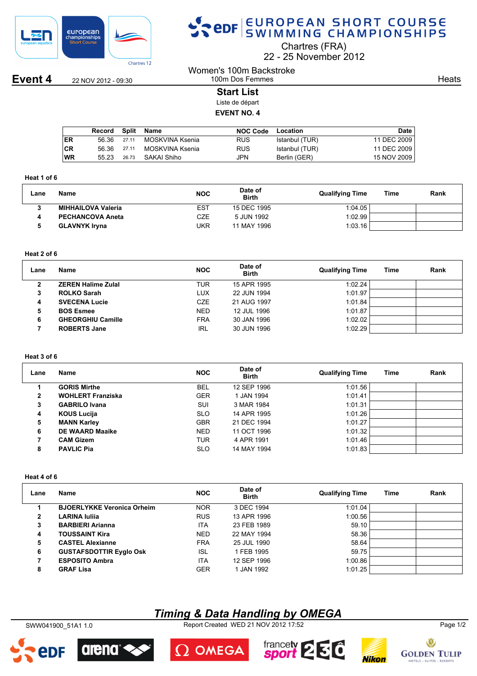

## SPOR EUROPEAN SHORT COURSE

Chartres (FRA)

22 25 November 2012

**Event 4** 22 NOV 2012 - 09:30

**Heats** 

### 100m Dos Femmes **Start List**

Women's 100m Backstroke

Liste de départ **EVENT NO. 4**

|           | Record | Split | Name            | <b>NOC Code</b> | Location       | Date        |
|-----------|--------|-------|-----------------|-----------------|----------------|-------------|
| ER        | 56.36  | 27.11 | MOSKVINA Ksenia | <b>RUS</b>      | Istanbul (TUR) | 11 DEC 2009 |
| <b>CR</b> | 56.36  | 27.11 | MOSKVINA Ksenia | <b>RUS</b>      | Istanbul (TUR) | 11 DEC 2009 |
| <b>WR</b> | 55 23  | 26.73 | SAKAI Shiho     | JPN             | Berlin (GER)   | 15 NOV 2009 |

#### **Heat 1 of 6**

| Lane | Name                      | <b>NOC</b> | Date of<br><b>Birth</b> | <b>Qualifying Time</b> | Time | Rank |
|------|---------------------------|------------|-------------------------|------------------------|------|------|
|      | <b>MIHHAILOVA Valeria</b> | EST        | 15 DEC 1995             | 1:04.05                |      |      |
|      | <b>PECHANCOVA Aneta</b>   | CZE        | 5 JUN 1992              | 1:02.99                |      |      |
|      | <b>GLAVNYK Iryna</b>      | UKR        | 11 MAY 1996             | 1:03.16                |      |      |

#### **Heat 2 of 6**

| Lane | Name                      | <b>NOC</b> | Date of<br><b>Birth</b> | <b>Qualifying Time</b> | Time | Rank |
|------|---------------------------|------------|-------------------------|------------------------|------|------|
| o    | <b>ZEREN Halime Zulal</b> | TUR        | 15 APR 1995             | 1:02.24                |      |      |
| 3    | <b>ROLKO Sarah</b>        | LUX        | 22 JUN 1994             | 1:01.97                |      |      |
| 4    | <b>SVECENA Lucie</b>      | <b>CZE</b> | 21 AUG 1997             | 1:01.84                |      |      |
| 5    | <b>BOS Esmee</b>          | <b>NED</b> | 12 JUL 1996             | 1:01.87                |      |      |
| 6    | <b>GHEORGHIU Camille</b>  | <b>FRA</b> | 30 JAN 1996             | 1:02.02                |      |      |
|      | <b>ROBERTS Jane</b>       | IRL        | 30 JUN 1996             | 1:02.29                |      |      |

#### **Heat 3 of 6**

| Lane | <b>Name</b>              | <b>NOC</b> | Date of<br><b>Birth</b> | <b>Qualifying Time</b> | Time | Rank |
|------|--------------------------|------------|-------------------------|------------------------|------|------|
|      | <b>GORIS Mirthe</b>      | <b>BEL</b> | 12 SEP 1996             | 1:01.56                |      |      |
| 2    | <b>WOHLERT Franziska</b> | <b>GER</b> | 1 JAN 1994              | 1:01.41                |      |      |
| 3    | <b>GABRILO Ivana</b>     | <b>SUI</b> | 3 MAR 1984              | 1:01.31                |      |      |
| 4    | <b>KOUS Lucija</b>       | <b>SLO</b> | 14 APR 1995             | 1:01.26                |      |      |
| 5    | <b>MANN Karley</b>       | <b>GBR</b> | 21 DEC 1994             | 1:01.27                |      |      |
| 6    | <b>DE WAARD Maaike</b>   | <b>NED</b> | 11 OCT 1996             | 1:01.32                |      |      |
| 7    | <b>CAM Gizem</b>         | <b>TUR</b> | 4 APR 1991              | 1:01.46                |      |      |
| 8    | <b>PAVLIC Pia</b>        | <b>SLO</b> | 14 MAY 1994             | 1:01.83                |      |      |

#### **Heat 4 of 6**

| Lane | Name                              | <b>NOC</b> | Date of<br><b>Birth</b> | <b>Qualifying Time</b> | Time | Rank |
|------|-----------------------------------|------------|-------------------------|------------------------|------|------|
|      | <b>BJOERLYKKE Veronica Orheim</b> | <b>NOR</b> | 3 DEC 1994              | 1:01.04                |      |      |
| 2    | <b>LARINA Iulija</b>              | <b>RUS</b> | 13 APR 1996             | 1:00.56                |      |      |
| 3    | <b>BARBIERI Arianna</b>           | <b>ITA</b> | 23 FEB 1989             | 59.10                  |      |      |
| 4    | <b>TOUSSAINT Kira</b>             | <b>NED</b> | 22 MAY 1994             | 58.36                  |      |      |
| 5    | <b>CASTEL Alexianne</b>           | <b>FRA</b> | 25 JUL 1990             | 58.64                  |      |      |
| 6    | <b>GUSTAFSDOTTIR Eyglo Osk</b>    | <b>ISL</b> | 1 FEB 1995              | 59.75                  |      |      |
|      | <b>ESPOSITO Ambra</b>             | <b>ITA</b> | 12 SEP 1996             | 1:00.86                |      |      |
| 8    | <b>GRAF Lisa</b>                  | <b>GER</b> | 1 JAN 1992              | 1:01.25                |      |      |

## *Timing & Data Handling by OMEGA*

SWW041900\_51A1 1.0 Report Created WED 21 NOV 2012 17:52 Page 1/2